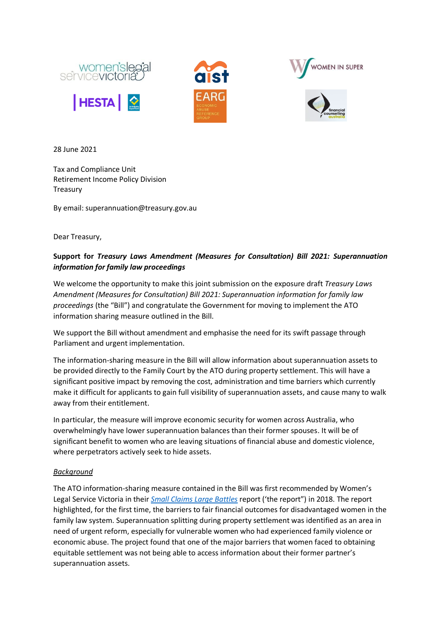





28 June 2021

Tax and Compliance Unit Retirement Income Policy Division Treasury

By email: superannuation@treasury.gov.au

Dear Treasury,

## **Support for** *Treasury Laws Amendment (Measures for Consultation) Bill 2021: Superannuation information for family law proceedings*

We welcome the opportunity to make this joint submission on the exposure draft *Treasury Laws Amendment (Measures for Consultation) Bill 2021: Superannuation information for family law proceedings* (the "Bill") and congratulate the Government for moving to implement the ATO information sharing measure outlined in the Bill.

We support the Bill without amendment and emphasise the need for its swift passage through Parliament and urgent implementation.

The information-sharing measure in the Bill will allow information about superannuation assets to be provided directly to the Family Court by the ATO during property settlement. This will have a significant positive impact by removing the cost, administration and time barriers which currently make it difficult for applicants to gain full visibility of superannuation assets, and cause many to walk away from their entitlement.

In particular, the measure will improve economic security for women across Australia, who overwhelmingly have lower superannuation balances than their former spouses. It will be of significant benefit to women who are leaving situations of financial abuse and domestic violence, where perpetrators actively seek to hide assets.

## *Background*

The ATO information-sharing measure contained in the Bill was first recommended by Women's Legal Service Victoria in their *[Small Claims Large Battles](https://www.womenslegal.org.au/~womensle/wp-content/uploads/2021/04/Small-Claims-Large-Battles-Report.pdf)* report ('the report") in 2018. The report highlighted, for the first time, the barriers to fair financial outcomes for disadvantaged women in the family law system. Superannuation splitting during property settlement was identified as an area in need of urgent reform, especially for vulnerable women who had experienced family violence or economic abuse. The project found that one of the major barriers that women faced to obtaining equitable settlement was not being able to access information about their former partner's superannuation assets.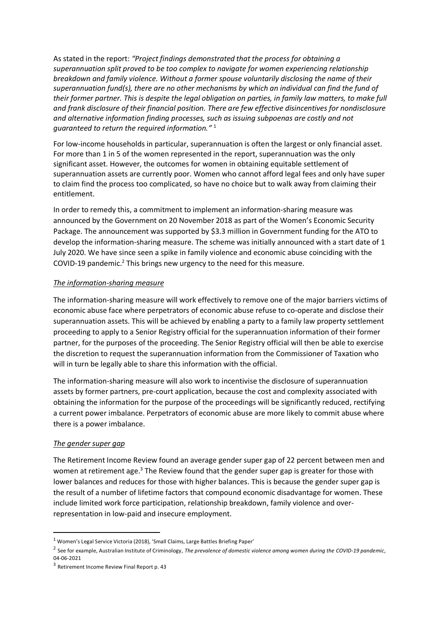As stated in the report: *"Project findings demonstrated that the process for obtaining a superannuation split proved to be too complex to navigate for women experiencing relationship breakdown and family violence. Without a former spouse voluntarily disclosing the name of their superannuation fund(s), there are no other mechanisms by which an individual can find the fund of their former partner. This is despite the legal obligation on parties, in family law matters, to make full and frank disclosure of their financial position. There are few effective disincentives for nondisclosure and alternative information finding processes, such as issuing subpoenas are costly and not guaranteed to return the required information."* 1

For low-income households in particular, superannuation is often the largest or only financial asset. For more than 1 in 5 of the women represented in the report, superannuation was the only significant asset. However, the outcomes for women in obtaining equitable settlement of superannuation assets are currently poor. Women who cannot afford legal fees and only have super to claim find the process too complicated, so have no choice but to walk away from claiming their entitlement.

In order to remedy this, a commitment to implement an information-sharing measure was announced by the Government on 20 November 2018 as part of the Women's Economic Security Package. The announcement was supported by \$3.3 million in Government funding for the ATO to develop the information-sharing measure. The scheme was initially announced with a start date of 1 July 2020. We have since seen a spike in family violence and economic abuse coinciding with the COVID-19 pandemic.<sup>2</sup> This brings new urgency to the need for this measure.

## *The information-sharing measure*

The information-sharing measure will work effectively to remove one of the major barriers victims of economic abuse face where perpetrators of economic abuse refuse to co-operate and disclose their superannuation assets. This will be achieved by enabling a party to a family law property settlement proceeding to apply to a Senior Registry official for the superannuation information of their former partner, for the purposes of the proceeding. The Senior Registry official will then be able to exercise the discretion to request the superannuation information from the Commissioner of Taxation who will in turn be legally able to share this information with the official.

The information-sharing measure will also work to incentivise the disclosure of superannuation assets by former partners, pre-court application, because the cost and complexity associated with obtaining the information for the purpose of the proceedings will be significantly reduced, rectifying a current power imbalance. Perpetrators of economic abuse are more likely to commit abuse where there is a power imbalance.

## *The gender super gap*

The Retirement Income Review found an average gender super gap of 22 percent between men and women at retirement age.<sup>3</sup> The Review found that the gender super gap is greater for those with lower balances and reduces for those with higher balances. This is because the gender super gap is the result of a number of lifetime factors that compound economic disadvantage for women. These include limited work force participation, relationship breakdown, family violence and overrepresentation in low-paid and insecure employment.

<sup>1</sup> Women's Legal Service Victoria (2018), 'Small Claims, Large Battles Briefing Paper'

<sup>2</sup> See for example, Australian Institute of Criminology, *The prevalence of domestic violence among women during the COVID-19 pandemic*, 04-06-2021

<sup>3</sup> Retirement Income Review Final Report p. 43